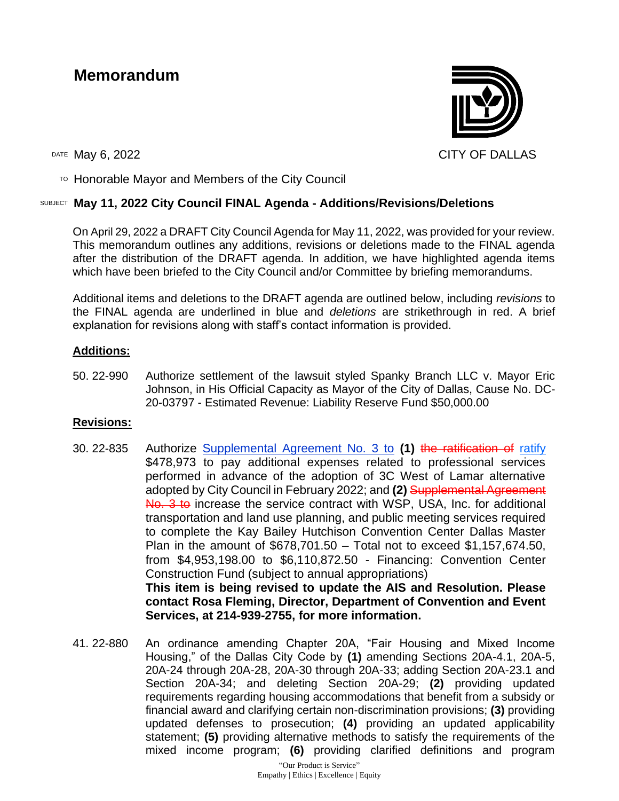# **Memorandum**



 $\overline{P}$  Honorable Mayor and Members of the City Council

#### SUBJECT **May 11, 2022 City Council FINAL Agenda - Additions/Revisions/Deletions**

On April 29, 2022 a DRAFT City Council Agenda for May 11, 2022, was provided for your review. This memorandum outlines any additions, revisions or deletions made to the FINAL agenda after the distribution of the DRAFT agenda. In addition, we have highlighted agenda items which have been briefed to the City Council and/or Committee by briefing memorandums.

Additional items and deletions to the DRAFT agenda are outlined below, including *revisions* to the FINAL agenda are underlined in blue and *deletions* are strikethrough in red. A brief explanation for revisions along with staff's contact information is provided.

#### **Additions:**

50. 22-990 Authorize settlement of the lawsuit styled Spanky Branch LLC v. Mayor Eric Johnson, in His Official Capacity as Mayor of the City of Dallas, Cause No. DC-20-03797 - Estimated Revenue: Liability Reserve Fund \$50,000.00

#### **Revisions:**

- 30. 22-835 Authorize Supplemental Agreement No. 3 to **(1)** the ratification of ratify \$478,973 to pay additional expenses related to professional services performed in advance of the adoption of 3C West of Lamar alternative adopted by City Council in February 2022; and **(2)** Supplemental Agreement No. 3 to increase the service contract with WSP, USA, Inc. for additional transportation and land use planning, and public meeting services required to complete the Kay Bailey Hutchison Convention Center Dallas Master Plan in the amount of \$678,701.50 – Total not to exceed \$1,157,674.50, from \$4,953,198.00 to \$6,110,872.50 - Financing: Convention Center Construction Fund (subject to annual appropriations) **This item is being revised to update the AIS and Resolution. Please contact Rosa Fleming, Director, Department of Convention and Event Services, at 214-939-2755, for more information.**
- 41. 22-880 An ordinance amending Chapter 20A, "Fair Housing and Mixed Income Housing," of the Dallas City Code by **(1)** amending Sections 20A-4.1, 20A-5, 20A-24 through 20A-28, 20A-30 through 20A-33; adding Section 20A-23.1 and Section 20A-34; and deleting Section 20A-29; **(2)** providing updated requirements regarding housing accommodations that benefit from a subsidy or financial award and clarifying certain non-discrimination provisions; **(3)** providing updated defenses to prosecution; **(4)** providing an updated applicability statement; **(5)** providing alternative methods to satisfy the requirements of the mixed income program; **(6)** providing clarified definitions and program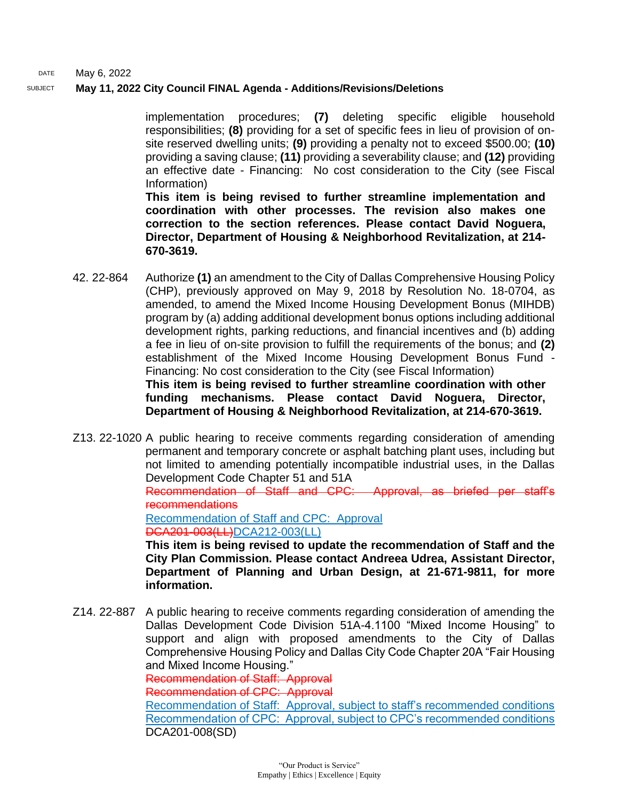#### SUBJECT **May 11, 2022 City Council FINAL Agenda - Additions/Revisions/Deletions**

implementation procedures; **(7)** deleting specific eligible household responsibilities; **(8)** providing for a set of specific fees in lieu of provision of onsite reserved dwelling units; **(9)** providing a penalty not to exceed \$500.00; **(10)** providing a saving clause; **(11)** providing a severability clause; and **(12)** providing an effective date - Financing: No cost consideration to the City (see Fiscal Information)

**This item is being revised to further streamline implementation and coordination with other processes. The revision also makes one correction to the section references. Please contact David Noguera, Director, Department of Housing & Neighborhood Revitalization, at 214- 670-3619.**

42. 22-864 Authorize **(1)** an amendment to the City of Dallas Comprehensive Housing Policy (CHP), previously approved on May 9, 2018 by Resolution No. 18-0704, as amended, to amend the Mixed Income Housing Development Bonus (MIHDB) program by (a) adding additional development bonus options including additional development rights, parking reductions, and financial incentives and (b) adding a fee in lieu of on-site provision to fulfill the requirements of the bonus; and **(2)** establishment of the Mixed Income Housing Development Bonus Fund - Financing: No cost consideration to the City (see Fiscal Information) **This item is being revised to further streamline coordination with other funding mechanisms. Please contact David Noguera, Director, Department of Housing & Neighborhood Revitalization, at 214-670-3619.**

Z13. 22-1020 A public hearing to receive comments regarding consideration of amending permanent and temporary concrete or asphalt batching plant uses, including but not limited to amending potentially incompatible industrial uses, in the Dallas Development Code Chapter 51 and 51A Recommendation of Staff and CPC: Approval, as briefed per staff's recommendations Recommendation of Staff and CPC: Approval DCA201-003(LL)DCA212-003(LL) **This item is being revised to update the recommendation of Staff and the City Plan Commission. Please contact Andreea Udrea, Assistant Director,** 

**Department of Planning and Urban Design, at 21-671-9811, for more information.**

Z14. 22-887 A public hearing to receive comments regarding consideration of amending the Dallas Development Code Division 51A-4.1100 "Mixed Income Housing" to support and align with proposed amendments to the City of Dallas Comprehensive Housing Policy and Dallas City Code Chapter 20A "Fair Housing and Mixed Income Housing." Recommendation of Staff: Approval Recommendation of CPC: Approval Recommendation of Staff: Approval, subject to staff's recommended conditions Recommendation of CPC: Approval, subject to CPC's recommended conditions DCA201-008(SD)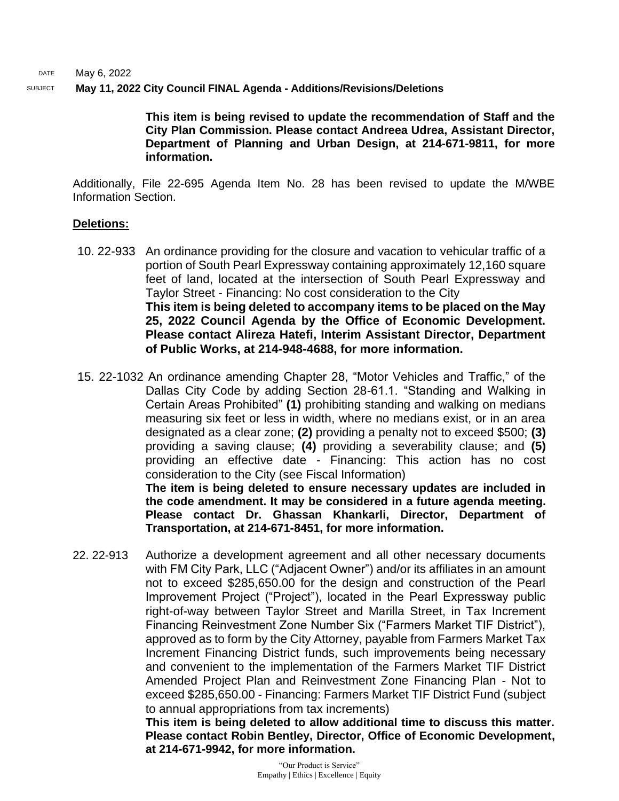#### SUBJECT **May 11, 2022 City Council FINAL Agenda - Additions/Revisions/Deletions**

**This item is being revised to update the recommendation of Staff and the City Plan Commission. Please contact Andreea Udrea, Assistant Director, Department of Planning and Urban Design, at 214-671-9811, for more information.**

Additionally, File 22-695 Agenda Item No. 28 has been revised to update the M/WBE Information Section.

#### **Deletions:**

- 10. 22-933 An ordinance providing for the closure and vacation to vehicular traffic of a portion of South Pearl Expressway containing approximately 12,160 square feet of land, located at the intersection of South Pearl Expressway and Taylor Street - Financing: No cost consideration to the City **This item is being deleted to accompany items to be placed on the May 25, 2022 Council Agenda by the Office of Economic Development. Please contact Alireza Hatefi, Interim Assistant Director, Department of Public Works, at 214-948-4688, for more information.**
- 15. 22-1032 An ordinance amending Chapter 28, "Motor Vehicles and Traffic," of the Dallas City Code by adding Section 28-61.1. "Standing and Walking in Certain Areas Prohibited" **(1)** prohibiting standing and walking on medians measuring six feet or less in width, where no medians exist, or in an area designated as a clear zone; **(2)** providing a penalty not to exceed \$500; **(3)** providing a saving clause; **(4)** providing a severability clause; and **(5)** providing an effective date - Financing: This action has no cost consideration to the City (see Fiscal Information) **The item is being deleted to ensure necessary updates are included in**

**the code amendment. It may be considered in a future agenda meeting. Please contact Dr. Ghassan Khankarli, Director, Department of Transportation, at 214-671-8451, for more information.**

22. 22-913 Authorize a development agreement and all other necessary documents with FM City Park, LLC ("Adjacent Owner") and/or its affiliates in an amount not to exceed \$285,650.00 for the design and construction of the Pearl Improvement Project ("Project"), located in the Pearl Expressway public right-of-way between Taylor Street and Marilla Street, in Tax Increment Financing Reinvestment Zone Number Six ("Farmers Market TIF District"), approved as to form by the City Attorney, payable from Farmers Market Tax Increment Financing District funds, such improvements being necessary and convenient to the implementation of the Farmers Market TIF District Amended Project Plan and Reinvestment Zone Financing Plan - Not to exceed \$285,650.00 - Financing: Farmers Market TIF District Fund (subject to annual appropriations from tax increments)

**This item is being deleted to allow additional time to discuss this matter. Please contact Robin Bentley, Director, Office of Economic Development, at 214-671-9942, for more information.**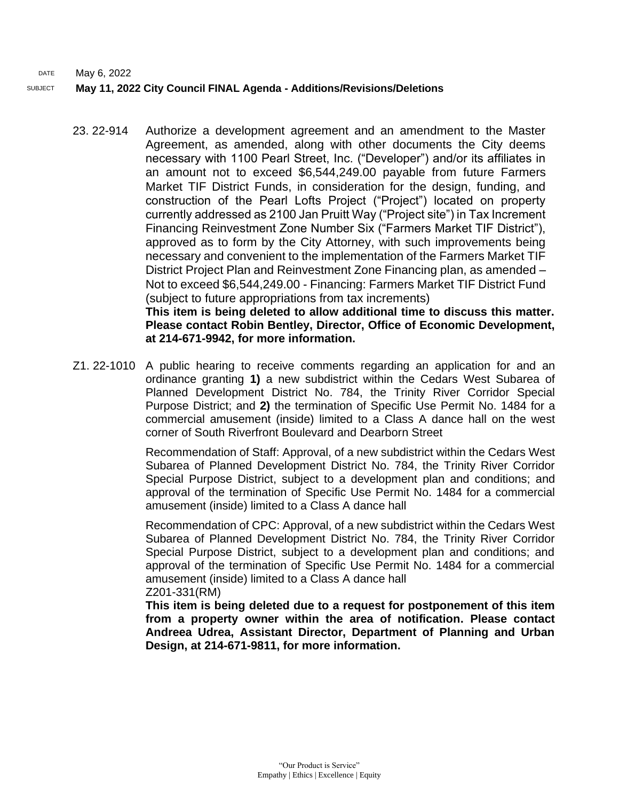# SUBJECT **May 11, 2022 City Council FINAL Agenda - Additions/Revisions/Deletions**

23. 22-914 Authorize a development agreement and an amendment to the Master Agreement, as amended, along with other documents the City deems necessary with 1100 Pearl Street, Inc. ("Developer") and/or its affiliates in an amount not to exceed \$6,544,249.00 payable from future Farmers Market TIF District Funds, in consideration for the design, funding, and construction of the Pearl Lofts Project ("Project") located on property currently addressed as 2100 Jan Pruitt Way ("Project site") in Tax Increment Financing Reinvestment Zone Number Six ("Farmers Market TIF District"), approved as to form by the City Attorney, with such improvements being necessary and convenient to the implementation of the Farmers Market TIF District Project Plan and Reinvestment Zone Financing plan, as amended – Not to exceed \$6,544,249.00 - Financing: Farmers Market TIF District Fund (subject to future appropriations from tax increments)

**This item is being deleted to allow additional time to discuss this matter. Please contact Robin Bentley, Director, Office of Economic Development, at 214-671-9942, for more information.**

Z1. 22-1010 A public hearing to receive comments regarding an application for and an ordinance granting **1)** a new subdistrict within the Cedars West Subarea of Planned Development District No. 784, the Trinity River Corridor Special Purpose District; and **2)** the termination of Specific Use Permit No. 1484 for a commercial amusement (inside) limited to a Class A dance hall on the west corner of South Riverfront Boulevard and Dearborn Street

> Recommendation of Staff: Approval, of a new subdistrict within the Cedars West Subarea of Planned Development District No. 784, the Trinity River Corridor Special Purpose District, subject to a development plan and conditions; and approval of the termination of Specific Use Permit No. 1484 for a commercial amusement (inside) limited to a Class A dance hall

> Recommendation of CPC: Approval, of a new subdistrict within the Cedars West Subarea of Planned Development District No. 784, the Trinity River Corridor Special Purpose District, subject to a development plan and conditions; and approval of the termination of Specific Use Permit No. 1484 for a commercial amusement (inside) limited to a Class A dance hall Z201-331(RM)

> **This item is being deleted due to a request for postponement of this item from a property owner within the area of notification. Please contact Andreea Udrea, Assistant Director, Department of Planning and Urban Design, at 214-671-9811, for more information.**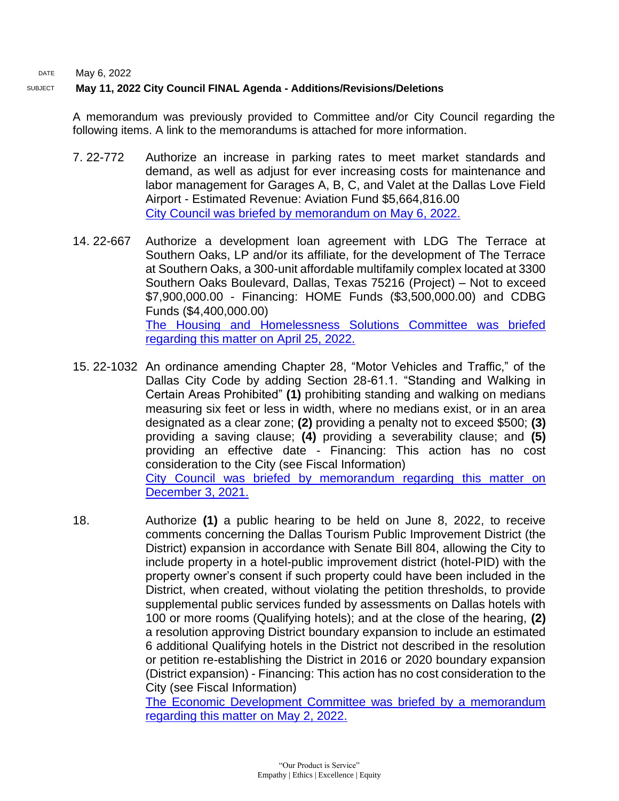# SUBJECT **May 11, 2022 City Council FINAL Agenda - Additions/Revisions/Deletions**

A memorandum was previously provided to Committee and/or City Council regarding the following items. A link to the memorandums is attached for more information.

- 7. 22-772 Authorize an increase in parking rates to meet market standards and demand, as well as adjust for ever increasing costs for maintenance and labor management for Garages A, B, C, and Valet at the Dallas Love Field Airport - Estimated Revenue: Aviation Fund \$5,664,816.00 [City Council was briefed by memorandum on May 6, 2022.](https://dallascityhall.com/government/citymanager/Documents/FY%2021-22%20Memos/Friday%20Memo%20-%20Update%20on%20Parking%20Rates%20at%20DAL%2005.06.22.pdf)
- 14. 22-667 Authorize a development loan agreement with LDG The Terrace at Southern Oaks, LP and/or its affiliate, for the development of The Terrace at Southern Oaks, a 300-unit affordable multifamily complex located at 3300 Southern Oaks Boulevard, Dallas, Texas 75216 (Project) – Not to exceed \$7,900,000.00 - Financing: HOME Funds (\$3,500,000.00) and CDBG Funds (\$4,400,000.00) [The Housing and Homelessness Solutions Committee was briefed](https://cityofdallas.legistar.com/View.ashx?M=F&ID=10833926&GUID=C877CF58-704A-4E82-B265-ACDCF2C969BE)  [regarding this matter on April 25, 2022.](https://cityofdallas.legistar.com/View.ashx?M=F&ID=10833926&GUID=C877CF58-704A-4E82-B265-ACDCF2C969BE)
- 15. 22-1032 An ordinance amending Chapter 28, "Motor Vehicles and Traffic," of the Dallas City Code by adding Section 28-61.1. "Standing and Walking in Certain Areas Prohibited" **(1)** prohibiting standing and walking on medians measuring six feet or less in width, where no medians exist, or in an area designated as a clear zone; **(2)** providing a penalty not to exceed \$500; **(3)** providing a saving clause; **(4)** providing a severability clause; and **(5)** providing an effective date - Financing: This action has no cost consideration to the City (see Fiscal Information) [City Council was briefed by memorandum regarding this matter on](https://dallascityhall.com/government/citymanager/Documents/FY%2021-22%20Memos/12-3-21%20Friday%20Memo_Ordinance%20Amending%20Chapter%2028%20Motor%20Vehicles%20and%20Traffic.pdf)  [December 3, 2021.](https://dallascityhall.com/government/citymanager/Documents/FY%2021-22%20Memos/12-3-21%20Friday%20Memo_Ordinance%20Amending%20Chapter%2028%20Motor%20Vehicles%20and%20Traffic.pdf)
- 18. Authorize **(1)** a public hearing to be held on June 8, 2022, to receive comments concerning the Dallas Tourism Public Improvement District (the District) expansion in accordance with Senate Bill 804, allowing the City to include property in a hotel-public improvement district (hotel-PID) with the property owner's consent if such property could have been included in the District, when created, without violating the petition thresholds, to provide supplemental public services funded by assessments on Dallas hotels with 100 or more rooms (Qualifying hotels); and at the close of the hearing, **(2)** a resolution approving District boundary expansion to include an estimated 6 additional Qualifying hotels in the District not described in the resolution or petition re-establishing the District in 2016 or 2020 boundary expansion (District expansion) - Financing: This action has no cost consideration to the City (see Fiscal Information)

[The Economic Development Committee was briefed by a memorandum](https://cityofdallas.legistar.com/View.ashx?M=F&ID=10858992&GUID=A36B2EAC-599C-4339-8270-4230EE3D5819)  [regarding this matter](https://cityofdallas.legistar.com/View.ashx?M=F&ID=10858992&GUID=A36B2EAC-599C-4339-8270-4230EE3D5819) on May 2, 2022.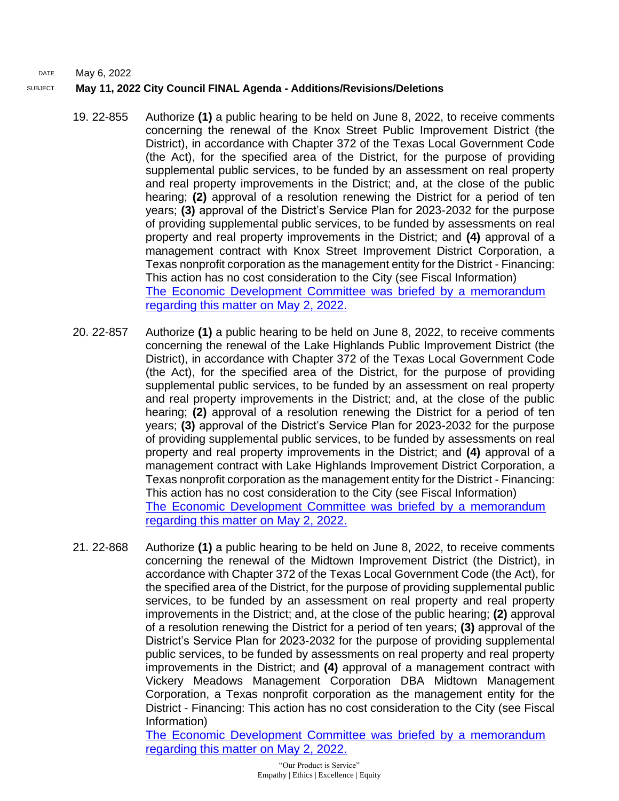# SUBJECT **May 11, 2022 City Council FINAL Agenda - Additions/Revisions/Deletions**

- 19. 22-855 Authorize **(1)** a public hearing to be held on June 8, 2022, to receive comments concerning the renewal of the Knox Street Public Improvement District (the District), in accordance with Chapter 372 of the Texas Local Government Code (the Act), for the specified area of the District, for the purpose of providing supplemental public services, to be funded by an assessment on real property and real property improvements in the District; and, at the close of the public hearing; **(2)** approval of a resolution renewing the District for a period of ten years; **(3)** approval of the District's Service Plan for 2023-2032 for the purpose of providing supplemental public services, to be funded by assessments on real property and real property improvements in the District; and **(4)** approval of a management contract with Knox Street Improvement District Corporation, a Texas nonprofit corporation as the management entity for the District - Financing: This action has no cost consideration to the City (see Fiscal Information) [The Economic Development Committee was briefed by a memorandum](https://cityofdallas.legistar.com/View.ashx?M=F&ID=10858992&GUID=A36B2EAC-599C-4339-8270-4230EE3D5819)  [regarding this matter on May 2, 2022.](https://cityofdallas.legistar.com/View.ashx?M=F&ID=10858992&GUID=A36B2EAC-599C-4339-8270-4230EE3D5819)
- 20. 22-857 Authorize **(1)** a public hearing to be held on June 8, 2022, to receive comments concerning the renewal of the Lake Highlands Public Improvement District (the District), in accordance with Chapter 372 of the Texas Local Government Code (the Act), for the specified area of the District, for the purpose of providing supplemental public services, to be funded by an assessment on real property and real property improvements in the District; and, at the close of the public hearing; **(2)** approval of a resolution renewing the District for a period of ten years; **(3)** approval of the District's Service Plan for 2023-2032 for the purpose of providing supplemental public services, to be funded by assessments on real property and real property improvements in the District; and **(4)** approval of a management contract with Lake Highlands Improvement District Corporation, a Texas nonprofit corporation as the management entity for the District - Financing: This action has no cost consideration to the City (see Fiscal Information) [The Economic Development Committee was briefed by a memorandum](https://cityofdallas.legistar.com/View.ashx?M=F&ID=10858992&GUID=A36B2EAC-599C-4339-8270-4230EE3D5819)  [regarding this matter on May 2, 2022.](https://cityofdallas.legistar.com/View.ashx?M=F&ID=10858992&GUID=A36B2EAC-599C-4339-8270-4230EE3D5819)
- 21. 22-868 Authorize **(1)** a public hearing to be held on June 8, 2022, to receive comments concerning the renewal of the Midtown Improvement District (the District), in accordance with Chapter 372 of the Texas Local Government Code (the Act), for the specified area of the District, for the purpose of providing supplemental public services, to be funded by an assessment on real property and real property improvements in the District; and, at the close of the public hearing; **(2)** approval of a resolution renewing the District for a period of ten years; **(3)** approval of the District's Service Plan for 2023-2032 for the purpose of providing supplemental public services, to be funded by assessments on real property and real property improvements in the District; and **(4)** approval of a management contract with Vickery Meadows Management Corporation DBA Midtown Management Corporation, a Texas nonprofit corporation as the management entity for the District - Financing: This action has no cost consideration to the City (see Fiscal Information)

[The Economic Development Committee was briefed by a memorandum](https://cityofdallas.legistar.com/View.ashx?M=F&ID=10858992&GUID=A36B2EAC-599C-4339-8270-4230EE3D5819)  [regarding this matter on May 2, 2022.](https://cityofdallas.legistar.com/View.ashx?M=F&ID=10858992&GUID=A36B2EAC-599C-4339-8270-4230EE3D5819)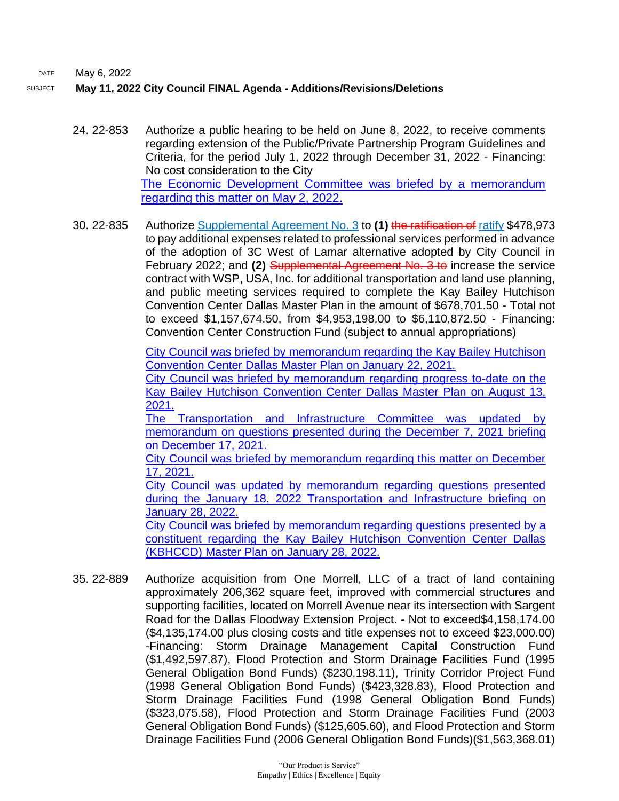#### SUBJECT **May 11, 2022 City Council FINAL Agenda - Additions/Revisions/Deletions**

- 24. 22-853 Authorize a public hearing to be held on June 8, 2022, to receive comments regarding extension of the Public/Private Partnership Program Guidelines and Criteria, for the period July 1, 2022 through December 31, 2022 - Financing: No cost consideration to the City [The Economic Development Committee was briefed by a memorandum](https://cityofdallas.legistar.com/View.ashx?M=F&ID=10858992&GUID=A36B2EAC-599C-4339-8270-4230EE3D5819)  [regarding this matter on May 2, 2022.](https://cityofdallas.legistar.com/View.ashx?M=F&ID=10858992&GUID=A36B2EAC-599C-4339-8270-4230EE3D5819)
- 30. 22-835 Authorize Supplemental Agreement No. 3 to **(1)** the ratification of ratify \$478,973 to pay additional expenses related to professional services performed in advance of the adoption of 3C West of Lamar alternative adopted by City Council in February 2022; and **(2)** Supplemental Agreement No. 3 to increase the service contract with WSP, USA, Inc. for additional transportation and land use planning, and public meeting services required to complete the Kay Bailey Hutchison Convention Center Dallas Master Plan in the amount of \$678,701.50 - Total not to exceed \$1,157,674.50, from \$4,953,198.00 to \$6,110,872.50 - Financing: Convention Center Construction Fund (subject to annual appropriations)

[City Council was briefed by memorandum regarding the Kay Bailey Hutchison](https://dallascityhall.com/government/citymanager/Documents/FY%2020-21%20Memos/Kay%20Bailey%20Hutchison%20Convention%20Center%20Master%20Plan%20update%20-%20Memo_01222021.pdf)  [Convention Center Dallas Master Plan on January 22, 2021.](https://dallascityhall.com/government/citymanager/Documents/FY%2020-21%20Memos/Kay%20Bailey%20Hutchison%20Convention%20Center%20Master%20Plan%20update%20-%20Memo_01222021.pdf)

[City Council was briefed by memorandum regarding progress to-date on the](https://dallascityhall.com/government/citymanager/Documents/FY%2020-21%20Memos/KBHCCD%20Master%20Plan%20Contract%20Update_Memo_08132021.pdf)  [Kay Bailey Hutchison Convention Center Dallas Master Plan on August 13,](https://dallascityhall.com/government/citymanager/Documents/FY%2020-21%20Memos/KBHCCD%20Master%20Plan%20Contract%20Update_Memo_08132021.pdf)  [2021.](https://dallascityhall.com/government/citymanager/Documents/FY%2020-21%20Memos/KBHCCD%20Master%20Plan%20Contract%20Update_Memo_08132021.pdf)

[The Transportation and Infrastructure Committee was updated by](https://dallascityhall.com/government/citymanager/Documents/FY%2021-22%20Memos/KBHCCD%20Master%20Plan_Memo_12172021.pdf)  [memorandum on questions presented during the December](https://dallascityhall.com/government/citymanager/Documents/FY%2021-22%20Memos/KBHCCD%20Master%20Plan_Memo_12172021.pdf) 7, 2021 briefing [on December 17, 2021.](https://dallascityhall.com/government/citymanager/Documents/FY%2021-22%20Memos/KBHCCD%20Master%20Plan_Memo_12172021.pdf)

[City Council was briefed by memorandum regarding this matter on December](https://dallascityhall.com/government/citymanager/Documents/FY%2021-22%20Memos/KBHCCD%20Master%20Plan_Memo_12172021.pdf)  [17, 2021.](https://dallascityhall.com/government/citymanager/Documents/FY%2021-22%20Memos/KBHCCD%20Master%20Plan_Memo_12172021.pdf)

[City Council was updated by memorandum regarding questions presented](https://dallascityhall.com/government/citymanager/Documents/FY%2021-22%20Memos/KBHCCD%20Master%20Plan%20Update%20Memo%20-%20Follow-Up%20to%20TRNI%20Committee.pdf)  during the January 18, 2022 Transportation and Infrastructure briefing on [January 28, 2022.](https://dallascityhall.com/government/citymanager/Documents/FY%2021-22%20Memos/KBHCCD%20Master%20Plan%20Update%20Memo%20-%20Follow-Up%20to%20TRNI%20Committee.pdf)

[City Council was briefed by memorandum regarding questions presented by a](https://dallascityhall.com/government/citymanager/Documents/FY%2021-22%20Memos/KBHCCD%20Master%20Plan%20Update%20-%20Additional%20Questions.pdf)  [constituent regarding the Kay Bailey Hutchison Convention Center Dallas](https://dallascityhall.com/government/citymanager/Documents/FY%2021-22%20Memos/KBHCCD%20Master%20Plan%20Update%20-%20Additional%20Questions.pdf)  [\(KBHCCD\) Master Plan on January 28, 2022.](https://dallascityhall.com/government/citymanager/Documents/FY%2021-22%20Memos/KBHCCD%20Master%20Plan%20Update%20-%20Additional%20Questions.pdf)

35. 22-889 Authorize acquisition from One Morrell, LLC of a tract of land containing approximately 206,362 square feet, improved with commercial structures and supporting facilities, located on Morrell Avenue near its intersection with Sargent Road for the Dallas Floodway Extension Project. - Not to exceed\$4,158,174.00 (\$4,135,174.00 plus closing costs and title expenses not to exceed \$23,000.00) -Financing: Storm Drainage Management Capital Construction Fund (\$1,492,597.87), Flood Protection and Storm Drainage Facilities Fund (1995 General Obligation Bond Funds) (\$230,198.11), Trinity Corridor Project Fund (1998 General Obligation Bond Funds) (\$423,328.83), Flood Protection and Storm Drainage Facilities Fund (1998 General Obligation Bond Funds) (\$323,075.58), Flood Protection and Storm Drainage Facilities Fund (2003 General Obligation Bond Funds) (\$125,605.60), and Flood Protection and Storm Drainage Facilities Fund (2006 General Obligation Bond Funds)(\$1,563,368.01)